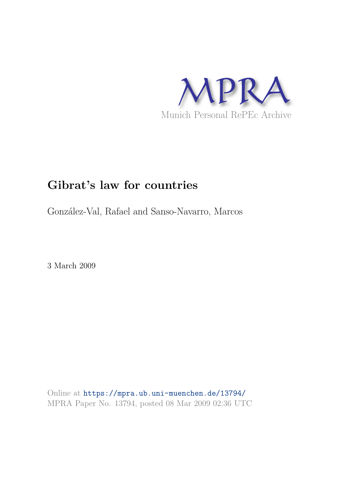

# **Gibrat's law for countries**

González-Val, Rafael and Sanso-Navarro, Marcos

3 March 2009

Online at https://mpra.ub.uni-muenchen.de/13794/ MPRA Paper No. 13794, posted 08 Mar 2009 02:36 UTC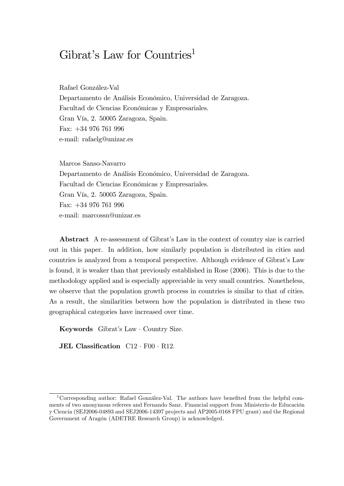## Gibrat's Law for Countries<sup>1</sup>

Rafael González-Val Departamento de Análisis Económico, Universidad de Zaragoza. Facultad de Ciencias Económicas y Empresariales. Gran VÌa, 2. 50005 Zaragoza, Spain. Fax: +34 976 761 996 e-mail: rafaelg@unizar.es

Marcos Sanso-Navarro

Departamento de Análisis Económico, Universidad de Zaragoza. Facultad de Ciencias Económicas y Empresariales. Gran VÌa, 2. 50005 Zaragoza, Spain. Fax: +34 976 761 996 e-mail: marcossn@unizar.es

Abstract A re-assessment of Gibrat's Law in the context of country size is carried out in this paper. In addition, how similarly population is distributed in cities and countries is analyzed from a temporal perspective. Although evidence of Gibrat's Law is found, it is weaker than that previously established in Rose (2006). This is due to the methodology applied and is especially appreciable in very small countries. Nonetheless, we observe that the population growth process in countries is similar to that of cities. As a result, the similarities between how the population is distributed in these two geographical categories have increased over time.

Keywords Gibrat's Law  $\cdot$  Country Size.

JEL Classification  $C12 \cdot F00 \cdot R12$ .

<sup>&</sup>lt;sup>1</sup>Corresponding author: Rafael González-Val. The authors have benefited from the helpful comments of two anonymous referees and Fernando Sanz. Financial support from Ministerio de Educación y Ciencia (SEJ2006-04893 and SEJ2006-14397 projects and AP2005-0168 FPU grant) and the Regional Government of Aragón (ADETRE Research Group) is acknowledged.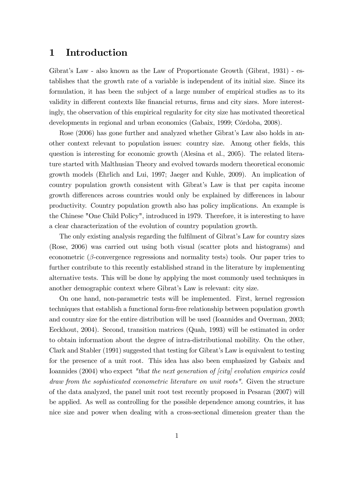## 1 Introduction

Gibrat's Law - also known as the Law of Proportionate Growth (Gibrat, 1931) - establishes that the growth rate of a variable is independent of its initial size. Since its formulation, it has been the subject of a large number of empirical studies as to its validity in different contexts like financial returns, firms and city sizes. More interestingly, the observation of this empirical regularity for city size has motivated theoretical developments in regional and urban economics (Gabaix, 1999; Córdoba, 2008).

Rose (2006) has gone further and analyzed whether Gibrat's Law also holds in another context relevant to population issues: country size. Among other Öelds, this question is interesting for economic growth (Alesina et al., 2005). The related literature started with Malthusian Theory and evolved towards modern theoretical economic growth models (Ehrlich and Lui, 1997; Jaeger and Kuhle, 2009). An implication of country population growth consistent with Gibrat's Law is that per capita income growth differences across countries would only be explained by differences in labour productivity. Country population growth also has policy implications. An example is the Chinese "One Child Policy", introduced in 1979. Therefore, it is interesting to have a clear characterization of the evolution of country population growth.

The only existing analysis regarding the fulfilment of Gibrat's Law for country sizes (Rose, 2006) was carried out using both visual (scatter plots and histograms) and econometric  $(\beta$ -convergence regressions and normality tests) tools. Our paper tries to further contribute to this recently established strand in the literature by implementing alternative tests. This will be done by applying the most commonly used techniques in another demographic context where Gibrat's Law is relevant: city size.

On one hand, non-parametric tests will be implemented. First, kernel regression techniques that establish a functional form-free relationship between population growth and country size for the entire distribution will be used (Ioannides and Overman, 2003; Eeckhout, 2004). Second, transition matrices (Quah, 1993) will be estimated in order to obtain information about the degree of intra-distributional mobility. On the other, Clark and Stabler (1991) suggested that testing for Gibrat's Law is equivalent to testing for the presence of a unit root. This idea has also been emphasized by Gabaix and Ioannides (2004) who expect "that the next generation of [city] evolution empirics could draw from the sophisticated econometric literature on unit roots". Given the structure of the data analyzed, the panel unit root test recently proposed in Pesaran (2007) will be applied. As well as controlling for the possible dependence among countries, it has nice size and power when dealing with a cross-sectional dimension greater than the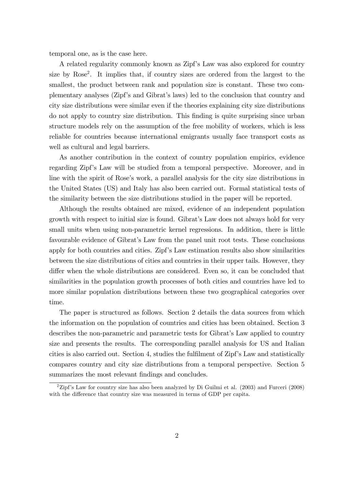temporal one, as is the case here.

A related regularity commonly known as Zipf's Law was also explored for country size by Rose<sup>2</sup> . It implies that, if country sizes are ordered from the largest to the smallest, the product between rank and population size is constant. These two complementary analyses (Zipfís and Gibratís laws) led to the conclusion that country and city size distributions were similar even if the theories explaining city size distributions do not apply to country size distribution. This Önding is quite surprising since urban structure models rely on the assumption of the free mobility of workers, which is less reliable for countries because international emigrants usually face transport costs as well as cultural and legal barriers.

As another contribution in the context of country population empirics, evidence regarding Zipf's Law will be studied from a temporal perspective. Moreover, and in line with the spirit of Rose's work, a parallel analysis for the city size distributions in the United States (US) and Italy has also been carried out. Formal statistical tests of the similarity between the size distributions studied in the paper will be reported.

Although the results obtained are mixed, evidence of an independent population growth with respect to initial size is found. Gibrat's Law does not always hold for very small units when using non-parametric kernel regressions. In addition, there is little favourable evidence of Gibrat's Law from the panel unit root tests. These conclusions apply for both countries and cities. Zipf's Law estimation results also show similarities between the size distributions of cities and countries in their upper tails. However, they differ when the whole distributions are considered. Even so, it can be concluded that similarities in the population growth processes of both cities and countries have led to more similar population distributions between these two geographical categories over time.

The paper is structured as follows. Section 2 details the data sources from which the information on the population of countries and cities has been obtained. Section 3 describes the non-parametric and parametric tests for Gibrat's Law applied to country size and presents the results. The corresponding parallel analysis for US and Italian cities is also carried out. Section 4, studies the fulfilment of  $\mathbb{Z}ipf$ 's Law and statistically compares country and city size distributions from a temporal perspective. Section 5 summarizes the most relevant findings and concludes.

 $2\text{Zipf's Law}$  for country size has also been analyzed by Di Guilmi et al. (2003) and Furceri (2008) with the difference that country size was measured in terms of GDP per capita.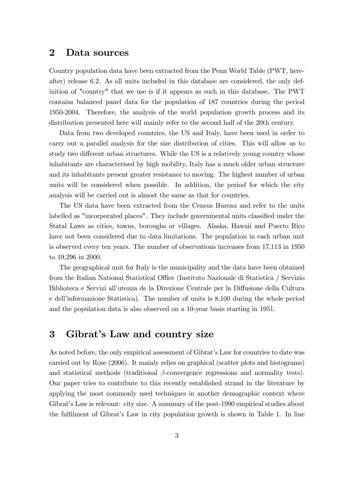#### 2 Data sources

Country population data have been extracted from the Penn World Table (PWT, hereafter) release 6.2. As all units included in this database are considered, the only definition of "country" that we use is if it appears as such in this database. The PWT contains balanced panel data for the population of 187 countries during the period 1950-2004. Therefore, the analysis of the world population growth process and its distribution presented here will mainly refer to the second half of the 20th century.

Data from two developed countries, the US and Italy, have been used in order to carry out a parallel analysis for the size distribution of cities. This will allow us to study two different urban structures. While the US is a relatively young country whose inhabitants are characterised by high mobility, Italy has a much older urban structure and its inhabitants present greater resistance to moving. The highest number of urban units will be considered when possible. In addition, the period for which the city analysis will be carried out is almost the same as that for countries.

The US data have been extracted from the Census Bureau and refer to the units labelled as "incorporated places". They include governmental units classified under the Statal Laws as cities, towns, boroughs or villages. Alaska, Hawaii and Puerto Rico have not been considered due to data limitations. The population in each urban unit is observed every ten years. The number of observations increases from 17,113 in 1950 to 19,296 in 2000.

The geographical unit for Italy is the municipality and the data have been obtained from the Italian National Statistical Office (Instituto Nazionale di Statistica / Servizio Biblioteca e Servizi all'utenza de la Direzione Centrale per la Diffusione della Cultura e dellíinformazione Statistica). The number of units is 8,100 during the whole period and the population data is also observed on a 10-year basis starting in 1951.

## 3 Gibrat's Law and country size

As noted before, the only empirical assessment of Gibrat's Law for countries to date was carried out by Rose (2006). It mainly relies on graphical (scatter plots and histograms) and statistical methods (traditional  $\beta$ -convergence regressions and normality tests). Our paper tries to contribute to this recently established strand in the literature by applying the most commonly used techniques in another demographic context where Gibrat's Law is relevant: city size. A summary of the post-1990 empirical studies about the fulfilment of Gibrat's Law in city population growth is shown in Table 1. In line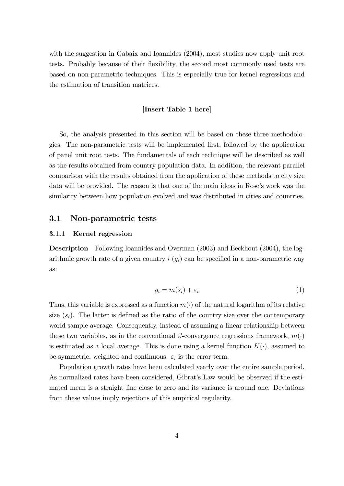with the suggestion in Gabaix and Ioannides  $(2004)$ , most studies now apply unit root tests. Probably because of their áexibility, the second most commonly used tests are based on non-parametric techniques. This is especially true for kernel regressions and the estimation of transition matrices.

#### [Insert Table 1 here]

So, the analysis presented in this section will be based on these three methodologies. The non-parametric tests will be implemented Örst, followed by the application of panel unit root tests. The fundamentals of each technique will be described as well as the results obtained from country population data. In addition, the relevant parallel comparison with the results obtained from the application of these methods to city size data will be provided. The reason is that one of the main ideas in Rose's work was the similarity between how population evolved and was distributed in cities and countries.

#### 3.1 Non-parametric tests

#### 3.1.1 Kernel regression

Description Following Ioannides and Overman (2003) and Eeckhout (2004), the logarithmic growth rate of a given country  $i(g_i)$  can be specified in a non-parametric way as:

$$
g_i = m(s_i) + \varepsilon_i \tag{1}
$$

Thus, this variable is expressed as a function  $m(\cdot)$  of the natural logarithm of its relative size  $(s_i)$ . The latter is defined as the ratio of the country size over the contemporary world sample average. Consequently, instead of assuming a linear relationship between these two variables, as in the conventional  $\beta$ -convergence regressions framework,  $m(\cdot)$ is estimated as a local average. This is done using a kernel function  $K(\cdot)$ , assumed to be symmetric, weighted and continuous.  $\varepsilon_i$  is the error term.

Population growth rates have been calculated yearly over the entire sample period. As normalized rates have been considered, Gibrat's Law would be observed if the estimated mean is a straight line close to zero and its variance is around one. Deviations from these values imply rejections of this empirical regularity.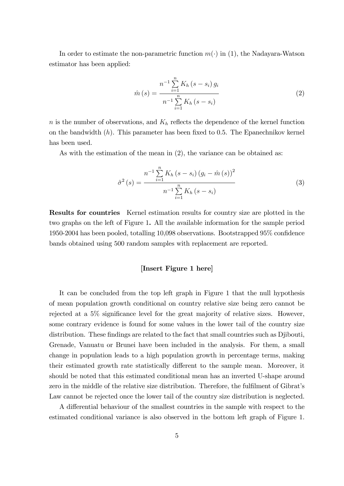In order to estimate the non-parametric function  $m(\cdot)$  in (1), the Nadayara-Watson estimator has been applied:

$$
\hat{m}(s) = \frac{n^{-1} \sum_{i=1}^{n} K_h (s - s_i) g_i}{n^{-1} \sum_{i=1}^{n} K_h (s - s_i)}
$$
(2)

 $n$  is the number of observations, and  $K_h$  reflects the dependence of the kernel function on the bandwidth  $(h)$ . This parameter has been fixed to 0.5. The Epanechnikov kernel has been used.

As with the estimation of the mean in  $(2)$ , the variance can be obtained as:

$$
\hat{\sigma}^{2}(s) = \frac{n^{-1} \sum_{i=1}^{n} K_{h} (s - s_{i}) (g_{i} - \hat{m}(s))^{2}}{n^{-1} \sum_{i=1}^{n} K_{h} (s - s_{i})}
$$
(3)

Results for countries Kernel estimation results for country size are plotted in the two graphs on the left of Figure 1. All the available information for the sample period 1950-2004 has been pooled, totalling  $10,098$  observations. Bootstrapped  $95\%$  confidence bands obtained using 500 random samples with replacement are reported.

#### [Insert Figure 1 here]

It can be concluded from the top left graph in Figure 1 that the null hypothesis of mean population growth conditional on country relative size being zero cannot be rejected at a  $5\%$  significance level for the great majority of relative sizes. However, some contrary evidence is found for some values in the lower tail of the country size distribution. These findings are related to the fact that small countries such as Djibouti, Grenade, Vanuatu or Brunei have been included in the analysis. For them, a small change in population leads to a high population growth in percentage terms, making their estimated growth rate statistically different to the sample mean. Moreover, it should be noted that this estimated conditional mean has an inverted U-shape around zero in the middle of the relative size distribution. Therefore, the fulfilment of Gibrat's Law cannot be rejected once the lower tail of the country size distribution is neglected.

A differential behaviour of the smallest countries in the sample with respect to the estimated conditional variance is also observed in the bottom left graph of Figure 1.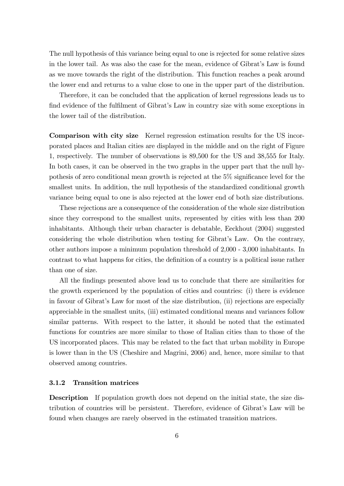The null hypothesis of this variance being equal to one is rejected for some relative sizes in the lower tail. As was also the case for the mean, evidence of Gibrat's Law is found as we move towards the right of the distribution. This function reaches a peak around the lower end and returns to a value close to one in the upper part of the distribution.

Therefore, it can be concluded that the application of kernel regressions leads us to find evidence of the fulfilment of Gibrat's Law in country size with some exceptions in the lower tail of the distribution.

Comparison with city size Kernel regression estimation results for the US incorporated places and Italian cities are displayed in the middle and on the right of Figure 1, respectively. The number of observations is 89,500 for the US and 38,555 for Italy. In both cases, it can be observed in the two graphs in the upper part that the null hypothesis of zero conditional mean growth is rejected at the  $5\%$  significance level for the smallest units. In addition, the null hypothesis of the standardized conditional growth variance being equal to one is also rejected at the lower end of both size distributions.

These rejections are a consequence of the consideration of the whole size distribution since they correspond to the smallest units, represented by cities with less than 200 inhabitants. Although their urban character is debatable, Eeckhout (2004) suggested considering the whole distribution when testing for Gibrat's Law. On the contrary, other authors impose a minimum population threshold of 2,000 - 3,000 inhabitants. In contrast to what happens for cities, the definition of a country is a political issue rather than one of size.

All the findings presented above lead us to conclude that there are similarities for the growth experienced by the population of cities and countries: (i) there is evidence in favour of Gibratís Law for most of the size distribution, (ii) rejections are especially appreciable in the smallest units, (iii) estimated conditional means and variances follow similar patterns. With respect to the latter, it should be noted that the estimated functions for countries are more similar to those of Italian cities than to those of the US incorporated places. This may be related to the fact that urban mobility in Europe is lower than in the US (Cheshire and Magrini, 2006) and, hence, more similar to that observed among countries.

#### 3.1.2 Transition matrices

Description If population growth does not depend on the initial state, the size distribution of countries will be persistent. Therefore, evidence of Gibratís Law will be found when changes are rarely observed in the estimated transition matrices.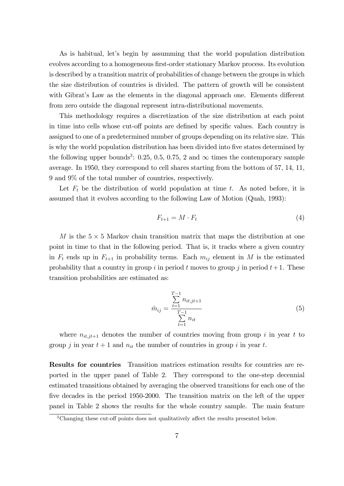As is habitual, let's begin by assumming that the world population distribution evolves according to a homogeneous first-order stationary Markov process. Its evolution is described by a transition matrix of probabilities of change between the groups in which the size distribution of countries is divided. The pattern of growth will be consistent with Gibrat's Law as the elements in the diagonal approach one. Elements different from zero outside the diagonal represent intra-distributional movements.

This methodology requires a discretization of the size distribution at each point in time into cells whose cut-off points are defined by specific values. Each country is assigned to one of a predetermined number of groups depending on its relative size. This is why the world population distribution has been divided into five states determined by the following upper bounds<sup>3</sup>: 0.25, 0.5, 0.75, 2 and  $\infty$  times the contemporary sample average. In 1950, they correspond to cell shares starting from the bottom of 57, 14, 11, 9 and 9% of the total number of countries, respectively.

Let  $F_t$  be the distribution of world population at time t. As noted before, it is assumed that it evolves according to the following Law of Motion (Quah, 1993):

$$
F_{t+1} = M \cdot F_t \tag{4}
$$

M is the  $5 \times 5$  Markov chain transition matrix that maps the distribution at one point in time to that in the following period. That is, it tracks where a given country in  $F_t$  ends up in  $F_{t+1}$  in probability terms. Each  $m_{ij}$  element in M is the estimated probability that a country in group i in period t moves to group j in period  $t+1$ . These transition probabilities are estimated as:

$$
\hat{m}_{ij} = \frac{\sum_{t=1}^{T-1} n_{it,jt+1}}{\sum_{t=1}^{T-1} n_{it}} \tag{5}
$$

where  $n_{it,jt+1}$  denotes the number of countries moving from group i in year t to group j in year  $t + 1$  and  $n_{it}$  the number of countries in group i in year t.

Results for countries Transition matrices estimation results for countries are reported in the upper panel of Table 2. They correspond to the one-step decennial estimated transitions obtained by averaging the observed transitions for each one of the five decades in the period 1950-2000. The transition matrix on the left of the upper panel in Table 2 shows the results for the whole country sample. The main feature

 $3$ Changing these cut-off points does not qualitatively affect the results presented below.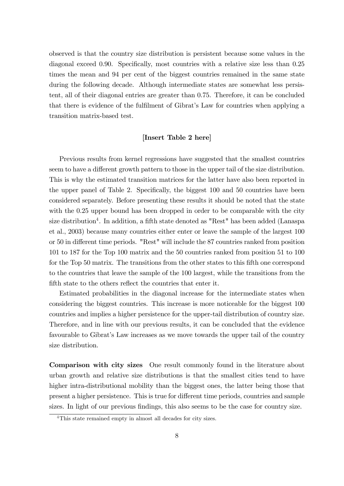observed is that the country size distribution is persistent because some values in the diagonal exceed 0.90. Specifically, most countries with a relative size less than 0.25 times the mean and 94 per cent of the biggest countries remained in the same state during the following decade. Although intermediate states are somewhat less persistent, all of their diagonal entries are greater than 0.75. Therefore, it can be concluded that there is evidence of the fulfilment of Gibrat's Law for countries when applying a transition matrix-based test.

#### [Insert Table 2 here]

Previous results from kernel regressions have suggested that the smallest countries seem to have a different growth pattern to those in the upper tail of the size distribution. This is why the estimated transition matrices for the latter have also been reported in the upper panel of Table 2. Specifically, the biggest 100 and 50 countries have been considered separately. Before presenting these results it should be noted that the state with the 0.25 upper bound has been dropped in order to be comparable with the city size distribution<sup>4</sup>. In addition, a fifth state denoted as "Rest" has been added (Lanaspa et al., 2003) because many countries either enter or leave the sample of the largest 100 or 50 in different time periods. "Rest" will include the 87 countries ranked from position 101 to 187 for the Top 100 matrix and the 50 countries ranked from position 51 to 100 for the Top 50 matrix. The transitions from the other states to this fifth one correspond to the countries that leave the sample of the 100 largest, while the transitions from the fifth state to the others reflect the countries that enter it.

Estimated probabilities in the diagonal increase for the intermediate states when considering the biggest countries. This increase is more noticeable for the biggest 100 countries and implies a higher persistence for the upper-tail distribution of country size. Therefore, and in line with our previous results, it can be concluded that the evidence favourable to Gibrat's Law increases as we move towards the upper tail of the country size distribution.

Comparison with city sizes One result commonly found in the literature about urban growth and relative size distributions is that the smallest cities tend to have higher intra-distributional mobility than the biggest ones, the latter being those that present a higher persistence. This is true for different time periods, countries and sample sizes. In light of our previous findings, this also seems to be the case for country size.

<sup>&</sup>lt;sup>4</sup>This state remained empty in almost all decades for city sizes.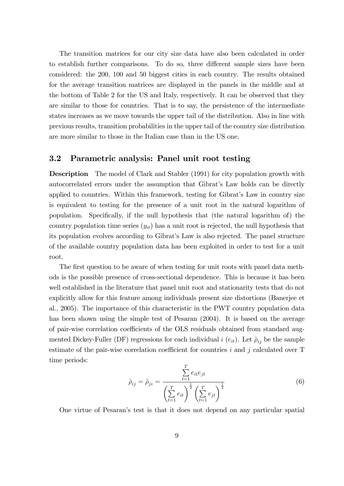The transition matrices for our city size data have also been calculated in order to establish further comparisons. To do so, three different sample sizes have been considered: the 200, 100 and 50 biggest cities in each country. The results obtained for the average transition matrices are displayed in the panels in the middle and at the bottom of Table 2 for the US and Italy, respectively. It can be observed that they are similar to those for countries. That is to say, the persistence of the intermediate states increases as we move towards the upper tail of the distribution. Also in line with previous results, transition probabilities in the upper tail of the country size distribution are more similar to those in the Italian case than in the US one.

#### 3.2 Parametric analysis: Panel unit root testing

Description The model of Clark and Stabler (1991) for city population growth with autocorrelated errors under the assumption that Gibrat's Law holds can be directly applied to countries. Within this framework, testing for Gibrat's Law in country size is equivalent to testing for the presence of a unit root in the natural logarithm of population. Specifically, if the null hypothesis that (the natural logarithm of) the country population time series  $(y_{it})$  has a unit root is rejected, the null hypothesis that its population evolves according to Gibrat's Law is also rejected. The panel structure of the available country population data has been exploited in order to test for a unit root.

The first question to be aware of when testing for unit roots with panel data methods is the possible presence of cross-sectional dependence. This is because it has been well established in the literature that panel unit root and stationarity tests that do not explicitly allow for this feature among individuals present size distortions (Banerjee et al., 2005). The importance of this characteristic in the PWT country population data has been shown using the simple test of Pesaran (2004). It is based on the average of pair-wise correlation coefficients of the OLS residuals obtained from standard augmented Dickey-Fuller (DF) regressions for each individual  $i(e_{it})$ . Let  $\hat{\rho}_{ij}$  be the sample estimate of the pair-wise correlation coefficient for countries  $i$  and  $j$  calculated over  $T$ time periods:  $\sigma$ 

$$
\hat{\rho}_{ij} = \hat{\rho}_{ji} = \frac{\sum_{t=1}^{I} e_{it} e_{jt}}{\left(\sum_{t=1}^{T} e_{it}\right)^{\frac{1}{2}} \left(\sum_{t=1}^{T} e_{jt}\right)^{\frac{1}{2}}}
$$
\n(6)

One virtue of Pesaranís test is that it does not depend on any particular spatial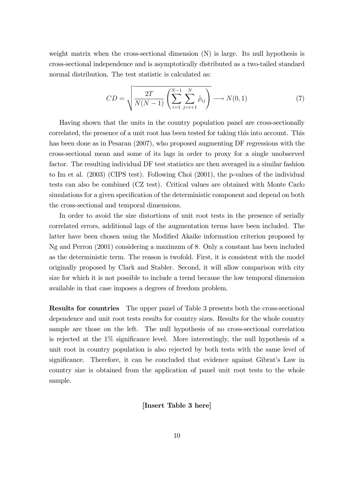weight matrix when the cross-sectional dimension  $(N)$  is large. Its null hypothesis is cross-sectional independence and is asymptotically distributed as a two-tailed standard normal distribution. The test statistic is calculated as:

$$
CD = \sqrt{\frac{2T}{N(N-1)} \left( \sum_{i=1}^{N-1} \sum_{j=i+1}^{N} \hat{\rho}_{ij} \right)} \longrightarrow N(0,1)
$$
 (7)

Having shown that the units in the country population panel are cross-sectionally correlated, the presence of a unit root has been tested for taking this into account. This has been done as in Pesaran (2007), who proposed augmenting DF regressions with the cross-sectional mean and some of its lags in order to proxy for a single unobserved factor. The resulting individual DF test statistics are then averaged in a similar fashion to Im et al. (2003) (CIPS test). Following Choi (2001), the p-values of the individual tests can also be combined (CZ test). Critical values are obtained with Monte Carlo simulations for a given specification of the deterministic component and depend on both the cross-sectional and temporal dimensions.

In order to avoid the size distortions of unit root tests in the presence of serially correlated errors, additional lags of the augmentation terms have been included. The latter have been chosen using the Modified Akaike information criterion proposed by Ng and Perron (2001) considering a maximum of 8. Only a constant has been included as the deterministic term. The reason is twofold. First, it is consistent with the model originally proposed by Clark and Stabler. Second, it will allow comparison with city size for which it is not possible to include a trend because the low temporal dimension available in that case imposes a degrees of freedom problem.

Results for countries The upper panel of Table 3 presents both the cross-sectional dependence and unit root tests results for country sizes. Results for the whole country sample are those on the left. The null hypothesis of no cross-sectional correlation is rejected at the  $1\%$  significance level. More interestingly, the null hypothesis of a unit root in country population is also rejected by both tests with the same level of significance. Therefore, it can be concluded that evidence against Gibrat's Law in country size is obtained from the application of panel unit root tests to the whole sample.

[Insert Table 3 here]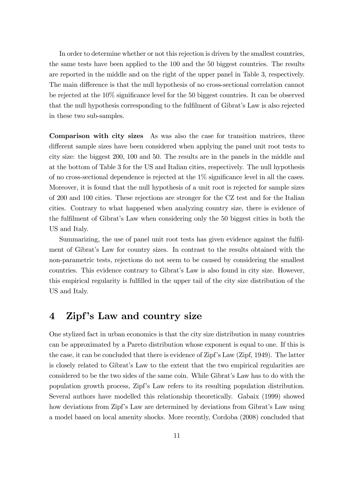In order to determine whether or not this rejection is driven by the smallest countries, the same tests have been applied to the 100 and the 50 biggest countries. The results are reported in the middle and on the right of the upper panel in Table 3, respectively. The main difference is that the null hypothesis of no cross-sectional correlation cannot be rejected at the  $10\%$  significance level for the 50 biggest countries. It can be observed that the null hypothesis corresponding to the fulfilment of Gibrat's Law is also rejected in these two sub-samples.

Comparison with city sizes As was also the case for transition matrices, three different sample sizes have been considered when applying the panel unit root tests to city size: the biggest 200, 100 and 50. The results are in the panels in the middle and at the bottom of Table 3 for the US and Italian cities, respectively. The null hypothesis of no cross-sectional dependence is rejected at the  $1\%$  significance level in all the cases. Moreover, it is found that the null hypothesis of a unit root is rejected for sample sizes of 200 and 100 cities. These rejections are stronger for the CZ test and for the Italian cities. Contrary to what happened when analyzing country size, there is evidence of the fulfilment of Gibrat's Law when considering only the 50 biggest cities in both the US and Italy.

Summarizing, the use of panel unit root tests has given evidence against the fulfilment of Gibratís Law for country sizes. In contrast to the results obtained with the non-parametric tests, rejections do not seem to be caused by considering the smallest countries. This evidence contrary to Gibrat's Law is also found in city size. However, this empirical regularity is fulfilled in the upper tail of the city size distribution of the US and Italy.

## 4 Zipf's Law and country size

One stylized fact in urban economics is that the city size distribution in many countries can be approximated by a Pareto distribution whose exponent is equal to one. If this is the case, it can be concluded that there is evidence of Zipf's Law (Zipf, 1949). The latter is closely related to Gibratís Law to the extent that the two empirical regularities are considered to be the two sides of the same coin. While Gibrat's Law has to do with the population growth process, Zipf's Law refers to its resulting population distribution. Several authors have modelled this relationship theoretically. Gabaix (1999) showed how deviations from Zipf's Law are determined by deviations from Gibrat's Law using a model based on local amenity shocks. More recently, Cordoba (2008) concluded that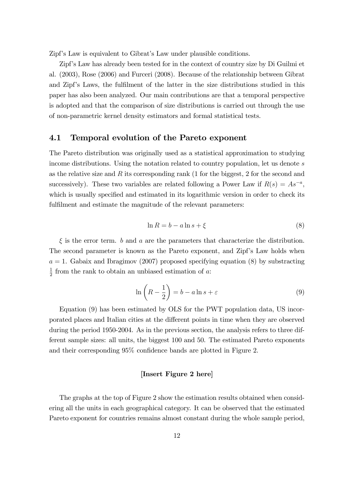Zipf's Law is equivalent to Gibrat's Law under plausible conditions.

Zipfís Law has already been tested for in the context of country size by Di Guilmi et al. (2003), Rose (2006) and Furceri (2008). Because of the relationship between Gibrat and Zipf's Laws, the fulfilment of the latter in the size distributions studied in this paper has also been analyzed. Our main contributions are that a temporal perspective is adopted and that the comparison of size distributions is carried out through the use of non-parametric kernel density estimators and formal statistical tests.

#### 4.1 Temporal evolution of the Pareto exponent

The Pareto distribution was originally used as a statistical approximation to studying income distributions. Using the notation related to country population, let us denote s as the relative size and  $R$  its corresponding rank (1 for the biggest, 2 for the second and successively). These two variables are related following a Power Law if  $R(s) = As^{-a}$ , which is usually specified and estimated in its logarithmic version in order to check its fulfilment and estimate the magnitude of the relevant parameters:

$$
\ln R = b - a \ln s + \xi \tag{8}
$$

 $\xi$  is the error term. b and a are the parameters that characterize the distribution. The second parameter is known as the Pareto exponent, and Zipf's Law holds when  $a = 1$ . Gabaix and Ibragimov (2007) proposed specifying equation (8) by substracting 1  $\frac{1}{2}$  from the rank to obtain an unbiased estimation of a:

$$
\ln\left(R - \frac{1}{2}\right) = b - a \ln s + \varepsilon \tag{9}
$$

Equation (9) has been estimated by OLS for the PWT population data, US incorporated places and Italian cities at the different points in time when they are observed during the period 1950-2004. As in the previous section, the analysis refers to three different sample sizes: all units, the biggest 100 and 50. The estimated Pareto exponents and their corresponding  $95\%$  confidence bands are plotted in Figure 2.

#### [Insert Figure 2 here]

The graphs at the top of Figure 2 show the estimation results obtained when considering all the units in each geographical category. It can be observed that the estimated Pareto exponent for countries remains almost constant during the whole sample period,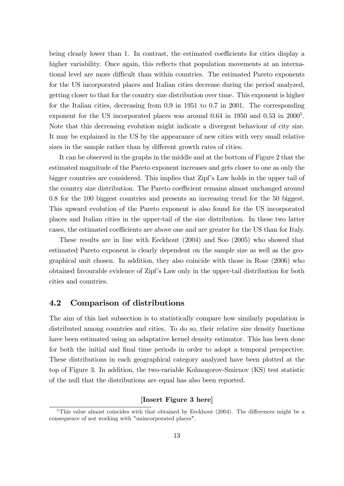being clearly lower than 1. In contrast, the estimated coefficients for cities display a higher variability. Once again, this reflects that population movements at an international level are more difficult than within countries. The estimated Pareto exponents for the US incorporated places and Italian cities decrease during the period analyzed, getting closer to that for the country size distribution over time. This exponent is higher for the Italian cities, decreasing from 0.9 in 1951 to 0.7 in 2001. The corresponding exponent for the US incorporated places was around  $0.64$  in  $1950$  and  $0.53$  in  $2000<sup>5</sup>$ . Note that this decreasing evolution might indicate a divergent behaviour of city size. It may be explained in the US by the appearance of new cities with very small relative sizes in the sample rather than by different growth rates of cities.

It can be observed in the graphs in the middle and at the bottom of Figure 2 that the estimated magnitude of the Pareto exponent increases and gets closer to one as only the bigger countries are considered. This implies that Zipf's Law holds in the upper tail of the country size distribution. The Pareto coefficient remains almost unchanged around 0.8 for the 100 biggest countries and presents an increasing trend for the 50 biggest. This upward evolution of the Pareto exponent is also found for the US incorporated places and Italian cities in the upper-tail of the size distribution. In these two latter cases, the estimated coefficients are above one and are greater for the US than for Italy.

These results are in line with Eeckhout (2004) and Soo (2005) who showed that estimated Pareto exponent is clearly dependent on the sample size as well as the geographical unit chosen. In addition, they also coincide with those in Rose (2006) who obtained favourable evidence of Zipfís Law only in the upper-tail distribution for both cities and countries.

#### 4.2 Comparison of distributions

The aim of this last subsection is to statistically compare how similarly population is distributed among countries and cities. To do so, their relative size density functions have been estimated using an adaptative kernel density estimator. This has been done for both the initial and final time periods in order to adopt a temporal perspective. These distributions in each geographical category analyzed have been plotted at the top of Figure 3. In addition, the two-variable Kolmogorov-Smirnov (KS) test statistic of the null that the distributions are equal has also been reported.

#### [Insert Figure 3 here]

 $5$ This value almost coincides with that obtained by Eeckhout (2004). The differences might be a consequence of not working with "unincorporated places".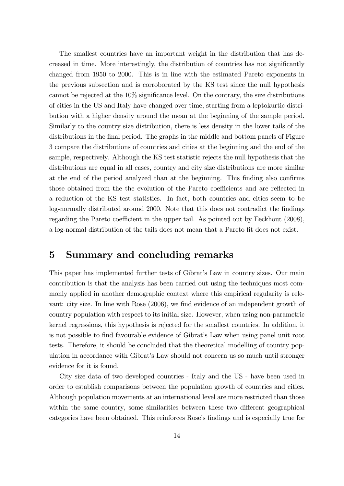The smallest countries have an important weight in the distribution that has decreased in time. More interestingly, the distribution of countries has not significantly changed from 1950 to 2000. This is in line with the estimated Pareto exponents in the previous subsection and is corroborated by the KS test since the null hypothesis cannot be rejected at the  $10\%$  significance level. On the contrary, the size distributions of cities in the US and Italy have changed over time, starting from a leptokurtic distribution with a higher density around the mean at the beginning of the sample period. Similarly to the country size distribution, there is less density in the lower tails of the distributions in the final period. The graphs in the middle and bottom panels of Figure 3 compare the distributions of countries and cities at the beginning and the end of the sample, respectively. Although the KS test statistic rejects the null hypothesis that the distributions are equal in all cases, country and city size distributions are more similar at the end of the period analyzed than at the beginning. This finding also confirms those obtained from the the evolution of the Pareto coefficients and are reflected in a reduction of the KS test statistics. In fact, both countries and cities seem to be log-normally distributed around 2000. Note that this does not contradict the findings regarding the Pareto coefficient in the upper tail. As pointed out by Eeckhout  $(2008)$ , a log-normal distribution of the tails does not mean that a Pareto fit does not exist.

## 5 Summary and concluding remarks

This paper has implemented further tests of Gibrat's Law in country sizes. Our main contribution is that the analysis has been carried out using the techniques most commonly applied in another demographic context where this empirical regularity is relevant: city size. In line with Rose (2006), we find evidence of an independent growth of country population with respect to its initial size. However, when using non-parametric kernel regressions, this hypothesis is rejected for the smallest countries. In addition, it is not possible to find favourable evidence of Gibrat's Law when using panel unit root tests. Therefore, it should be concluded that the theoretical modelling of country population in accordance with Gibrat's Law should not concern us so much until stronger evidence for it is found.

City size data of two developed countries - Italy and the US - have been used in order to establish comparisons between the population growth of countries and cities. Although population movements at an international level are more restricted than those within the same country, some similarities between these two different geographical categories have been obtained. This reinforces Rose's findings and is especially true for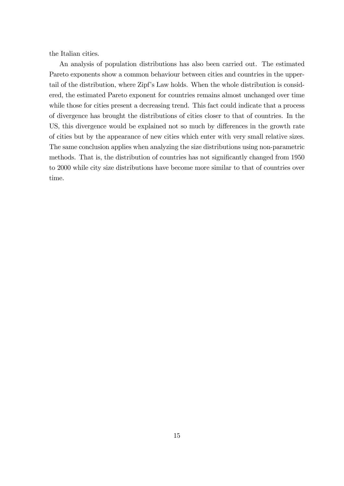the Italian cities.

An analysis of population distributions has also been carried out. The estimated Pareto exponents show a common behaviour between cities and countries in the uppertail of the distribution, where Zipf's Law holds. When the whole distribution is considered, the estimated Pareto exponent for countries remains almost unchanged over time while those for cities present a decreasing trend. This fact could indicate that a process of divergence has brought the distributions of cities closer to that of countries. In the US, this divergence would be explained not so much by differences in the growth rate of cities but by the appearance of new cities which enter with very small relative sizes. The same conclusion applies when analyzing the size distributions using non-parametric methods. That is, the distribution of countries has not significantly changed from 1950 to 2000 while city size distributions have become more similar to that of countries over time.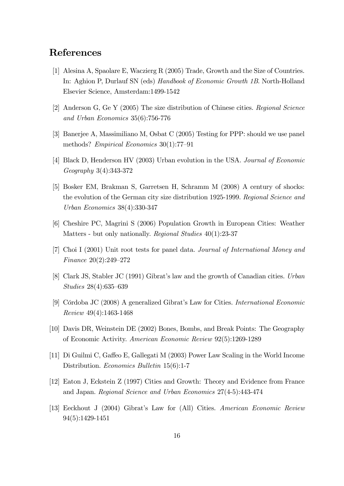## References

- [1] Alesina A, Spaolare E, Waczierg R (2005) Trade, Growth and the Size of Countries. In: Aghion P, Durlauf SN (eds) Handbook of Economic Growth 1B. North-Holland Elsevier Science, Amsterdam:1499-1542
- [2] Anderson G, Ge Y (2005) The size distribution of Chinese cities. Regional Science and Urban Economics 35(6):756-776
- [3] Banerjee A, Massimiliano M, Osbat C (2005) Testing for PPP: should we use panel methods? Empirical Economics  $30(1)$ :77-91
- [4] Black D, Henderson HV (2003) Urban evolution in the USA. Journal of Economic Geography 3(4):343-372
- [5] Bosker EM, Brakman S, Garretsen H, Schramm M (2008) A century of shocks: the evolution of the German city size distribution 1925-1999. Regional Science and Urban Economics 38(4):330-347
- [6] Cheshire PC, Magrini S (2006) Population Growth in European Cities: Weather Matters - but only nationally. Regional Studies 40(1):23-37
- [7] Choi I (2001) Unit root tests for panel data. Journal of International Money and Finance  $20(2):249-272$
- [8] Clark JS, Stabler JC (1991) Gibrat's law and the growth of Canadian cities. Urban  $Studies 28(4):635–639$
- [9] Córdoba JC (2008) A generalized Gibrat's Law for Cities. International Economic Review 49(4):1463-1468
- [10] Davis DR, Weinstein DE (2002) Bones, Bombs, and Break Points: The Geography of Economic Activity. American Economic Review 92(5):1269-1289
- [11] Di Guilmi C, Ga§eo E, Gallegati M (2003) Power Law Scaling in the World Income Distribution. Economics Bulletin 15(6):1-7
- [12] Eaton J, Eckstein Z (1997) Cities and Growth: Theory and Evidence from France and Japan. Regional Science and Urban Economics 27(4-5):443-474
- [13] Eeckhout J (2004) Gibrat's Law for (All) Cities. American Economic Review 94(5):1429-1451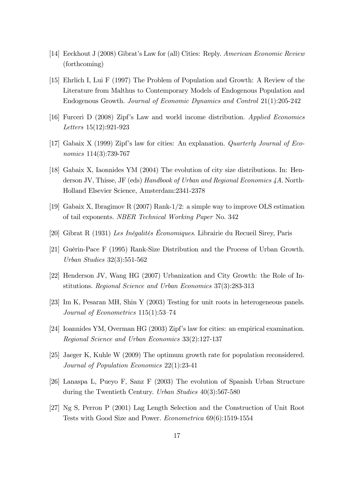- [14] Eeckhout J (2008) Gibrat's Law for (all) Cities: Reply. American Economic Review (forthcoming)
- [15] Ehrlich I, Lui F (1997) The Problem of Population and Growth: A Review of the Literature from Malthus to Contemporary Models of Endogenous Population and Endogenous Growth. Journal of Economic Dynamics and Control 21(1):205-242
- [16] Furceri D (2008) Zipf's Law and world income distribution. Applied Economics Letters 15(12):921-923
- [17] Gabaix X (1999) Zipf's law for cities: An explanation. Quarterly Journal of Economics  $114(3)$ :739-767
- [18] Gabaix X, Iaonnides YM (2004) The evolution of city size distributions. In: Henderson JV, Thisse, JF (eds) Handbook of Urban and Regional Economics 4A. North-Holland Elsevier Science, Amsterdam:2341-2378
- [19] Gabaix X, Ibragimov R (2007) Rank-1/2: a simple way to improve OLS estimation of tail exponents. NBER Technical Working Paper No. 342
- [20] Gibrat R (1931) Les Inégalités Économiques. Librairie du Recueil Sirey, Paris
- [21] Guérin-Pace F (1995) Rank-Size Distribution and the Process of Urban Growth. Urban Studies 32(3):551-562
- [22] Henderson JV, Wang HG (2007) Urbanization and City Growth: the Role of Institutions. Regional Science and Urban Economics 37(3):283-313
- [23] Im K, Pesaran MH, Shin Y (2003) Testing for unit roots in heterogeneous panels. Journal of Econometrics  $115(1):53-74$
- [24] Ioannides YM, Overman HG (2003) Zipfís law for cities: an empirical examination. Regional Science and Urban Economics 33(2):127-137
- [25] Jaeger K, Kuhle W (2009) The optimum growth rate for population reconsidered. Journal of Population Economics 22(1):23-41
- [26] Lanaspa L, Pueyo F, Sanz F (2003) The evolution of Spanish Urban Structure during the Twentieth Century. Urban Studies 40(3):567-580
- [27] Ng S, Perron P (2001) Lag Length Selection and the Construction of Unit Root Tests with Good Size and Power. Econometrica 69(6):1519-1554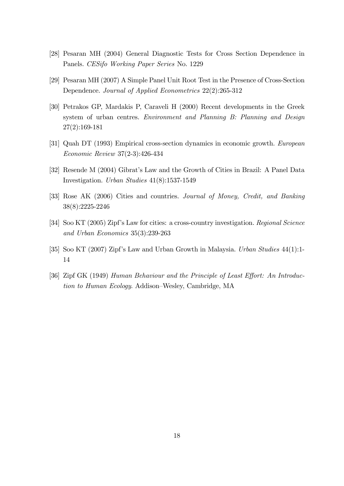- [28] Pesaran MH (2004) General Diagnostic Tests for Cross Section Dependence in Panels. CESifo Working Paper Series No. 1229
- [29] Pesaran MH (2007) A Simple Panel Unit Root Test in the Presence of Cross-Section Dependence. Journal of Applied Econometrics 22(2):265-312
- [30] Petrakos GP, Mardakis P, Caraveli H (2000) Recent developments in the Greek system of urban centres. Environment and Planning B: Planning and Design 27(2):169-181
- [31] Quah DT (1993) Empirical cross-section dynamics in economic growth. European Economic Review 37(2-3):426-434
- [32] Resende M (2004) Gibratís Law and the Growth of Cities in Brazil: A Panel Data Investigation. Urban Studies 41(8):1537-1549
- [33] Rose AK (2006) Cities and countries. Journal of Money, Credit, and Banking 38(8):2225-2246
- [34] Soo KT (2005) Zipf's Law for cities: a cross-country investigation. Regional Science and Urban Economics 35(3):239-263
- [35] Soo KT (2007) Zipfís Law and Urban Growth in Malaysia. Urban Studies 44(1):1- 14
- [36] Zipf GK (1949) Human Behaviour and the Principle of Least Effort: An Introduction to Human Ecology. Addison–Wesley, Cambridge, MA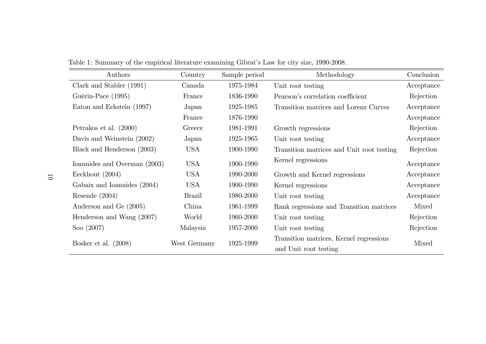| Authors                      | Country       | Sample period | Methodology                               | Conclusion |
|------------------------------|---------------|---------------|-------------------------------------------|------------|
| Clark and Stabler (1991)     | Canada        | 1975-1984     | Unit root testing                         | Acceptance |
| Guérin-Pace (1995)           | France        | 1836-1990     | Pearson's correlation coefficient         | Rejection  |
| Eaton and Eckstein (1997)    | Japan         | 1925-1985     | Transition matrices and Lorenz Curves     | Acceptance |
|                              | France        | 1876-1990     |                                           | Acceptance |
| Petrakos et al. $(2000)$     | Greece        | 1981-1991     | Growth regressions                        | Rejection  |
| Davis and Weinstein (2002)   | Japan         | 1925-1965     | Unit root testing                         | Acceptance |
| Black and Henderson (2003)   | <b>USA</b>    | 1900-1990     | Transition matrices and Unit root testing | Rejection  |
| Ioannides and Overman (2003) | <b>USA</b>    | 1900-1990     | Kernel regressions                        | Acceptance |
| Eeckhout $(2004)$            | <b>USA</b>    | 1990-2000     | Growth and Kernel regressions             | Acceptance |
| Gabaix and Ioannides (2004)  | <b>USA</b>    | 1900-1990     | Kernel regressions                        | Acceptance |
| Resende $(2004)$             | <b>Brazil</b> | 1980-2000     | Unit root testing                         | Acceptance |
| Anderson and Ge (2005)       | China         | 1961-1999     | Rank regressions and Transition matrices  | Mixed      |
| Henderson and Wang (2007)    | World         | 1960-2000     | Unit root testing                         | Rejection  |
| Soo $(2007)$                 | Malaysia      | 1957-2000     | Unit root testing                         | Rejection  |
| Bosker et al. $(2008)$       | West Germany  | 1925-1999     | Transition matrices, Kernel regressions   | Mixed      |
|                              |               |               | and Unit root testing                     |            |

Table 1: Summary of the empirical literature examining Gibrat's Law for city size, 1990-2008.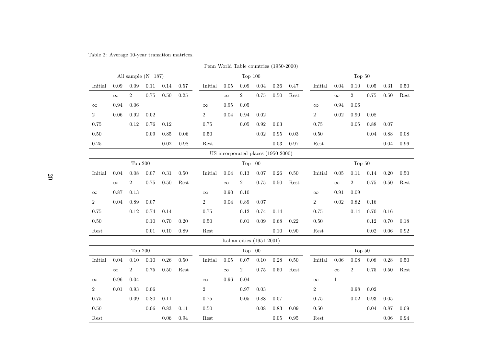| Table 2: Average 10-year transition matrices. |  |  |  |
|-----------------------------------------------|--|--|--|
|-----------------------------------------------|--|--|--|

| Penn World Table countries (1950-2000) |                                    |                |      |          |          |                       |          |                              |          |          |                       |                |              |                |          |          |                       |
|----------------------------------------|------------------------------------|----------------|------|----------|----------|-----------------------|----------|------------------------------|----------|----------|-----------------------|----------------|--------------|----------------|----------|----------|-----------------------|
|                                        | All sample $(N=187)$<br>Top $100$  |                |      |          | Top 50   |                       |          |                              |          |          |                       |                |              |                |          |          |                       |
| Initial                                | 0.09                               | 0.09           | 0.11 | 0.14     | 0.57     | Initial               | 0.05     | $0.09\,$                     | 0.04     | 0.36     | 0.47                  | Initial        | 0.04         | 0.10           | 0.05     | $0.31\,$ | $0.50\,$              |
|                                        | $\infty$                           | $\,2$          | 0.75 | 0.50     | 0.25     |                       | $\infty$ | $\,2$                        | 0.75     | $0.50\,$ | $\operatorname{Rest}$ |                | $\infty$     | $\,2$          | 0.75     | $0.50\,$ | $\operatorname{Rest}$ |
| $\infty$                               | 0.94                               | 0.06           |      |          |          | $\infty$              | 0.95     | $0.05\,$                     |          |          |                       | $\infty$       | 0.94         | 0.06           |          |          |                       |
| $\overline{2}$                         | 0.06                               | 0.92           | 0.02 |          |          | $\overline{2}$        | 0.04     | 0.94                         | 0.02     |          |                       | $\overline{2}$ | 0.02         | 0.90           | 0.08     |          |                       |
| 0.75                                   |                                    | 0.12           | 0.76 | 0.12     |          | 0.75                  |          | 0.05                         | 0.92     | 0.03     |                       | 0.75           |              | 0.05           | 0.88     | 0.07     |                       |
| $0.50\,$                               |                                    |                | 0.09 | 0.85     | 0.06     | 0.50                  |          |                              | $0.02\,$ | 0.95     | 0.03                  | 0.50           |              |                | 0.04     | 0.88     | 0.08                  |
| $0.25\,$                               |                                    |                |      | 0.02     | 0.98     | Rest                  |          |                              |          | 0.03     | 0.97                  | Rest           |              |                |          | 0.04     | 0.96                  |
|                                        | US incorporated places (1950-2000) |                |      |          |          |                       |          |                              |          |          |                       |                |              |                |          |          |                       |
|                                        |                                    | Top 200        |      |          |          |                       |          | Top $100$                    |          |          |                       |                |              | Top 50         |          |          |                       |
| Initial                                | 0.04                               | 0.08           | 0.07 | $0.31\,$ | $0.50\,$ | Initial               | 0.04     | 0.13                         | 0.07     | $0.26\,$ | 0.50                  | Initial        | 0.05         | 0.11           | $0.14\,$ | $0.20\,$ | $0.50\,$              |
|                                        | $\infty$                           | $\overline{2}$ | 0.75 | 0.50     | Rest     |                       | $\infty$ | $\,2$                        | 0.75     | 0.50     | Rest                  |                | $\infty$     | $\overline{2}$ | 0.75     | 0.50     | Rest                  |
| $\infty$                               | 0.87                               | $0.13\,$       |      |          |          | $\infty$              | 0.90     | 0.10                         |          |          |                       | $\infty$       | 0.91         | 0.09           |          |          |                       |
| $\overline{2}$                         | 0.04                               | 0.89           | 0.07 |          |          | $\overline{2}$        | 0.04     | 0.89                         | 0.07     |          |                       | $\overline{2}$ | 0.02         | 0.82           | 0.16     |          |                       |
| 0.75                                   |                                    | 0.12           | 0.74 | 0.14     |          | 0.75                  |          | 0.12                         | 0.74     | 0.14     |                       | 0.75           |              | 0.14           | 0.70     | 0.16     |                       |
| $0.50\,$                               |                                    |                | 0.10 | 0.70     | 0.20     | 0.50                  |          | 0.01                         | 0.09     | 0.68     | 0.22                  | 0.50           |              |                | 0.12     | 0.70     | 0.18                  |
| Rest                                   |                                    |                | 0.01 | 0.10     | 0.89     | Rest                  |          |                              |          | 0.10     | 0.90                  | Rest           |              |                | 0.02     | 0.06     | $\rm 0.92$            |
|                                        |                                    |                |      |          |          |                       |          | Italian cities $(1951-2001)$ |          |          |                       |                |              |                |          |          |                       |
|                                        |                                    | Top 200        |      |          |          |                       |          | Top $100$                    |          |          |                       |                |              | Top 50         |          |          |                       |
| Initial                                | 0.04                               | 0.10           | 0.10 | 0.26     | $0.50\,$ | Initial               | 0.05     | 0.07                         | $0.10\,$ | 0.28     | 0.50                  | Initial        | 0.06         | 0.08           | 0.08     | 0.28     | $0.50\,$              |
|                                        | $\infty$                           | $\,2$          | 0.75 | $0.50\,$ | Rest     |                       | $\infty$ | $\overline{2}$               | 0.75     | $0.50\,$ | Rest                  |                | $\infty$     | $\overline{2}$ | 0.75     | $0.50\,$ | Rest                  |
| $\infty$                               | 0.96                               | 0.04           |      |          |          | $\infty$              | 0.96     | 0.04                         |          |          |                       | $\infty$       | $\mathbf{1}$ |                |          |          |                       |
| $\overline{2}$                         | 0.01                               | $\rm 0.93$     | 0.06 |          |          | $\,2$                 |          | 0.97                         | $0.03\,$ |          |                       | $\,2$          |              | 0.98           | $0.02\,$ |          |                       |
| 0.75                                   |                                    | 0.09           | 0.80 | 0.11     |          | 0.75                  |          | 0.05                         | 0.88     | 0.07     |                       | 0.75           |              | 0.02           | 0.93     | 0.05     |                       |
| $0.50\,$                               |                                    |                | 0.06 | 0.83     | 0.11     | 0.50                  |          |                              | 0.08     | 0.83     | 0.09                  | 0.50           |              |                | 0.04     | 0.87     | 0.09                  |
| Rest                                   |                                    |                |      | 0.06     | 0.94     | $\operatorname{Rest}$ |          |                              |          | 0.05     | $0.95\,$              | Rest           |              |                |          | 0.06     | 0.94                  |

 $\overline{\phantom{0}}$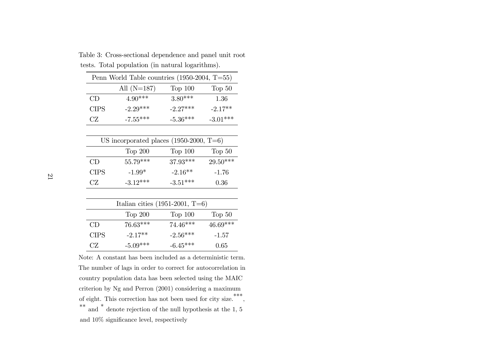| Penn World Table countries $(1950-2004, T=55)$ |               |            |            |  |  |  |  |
|------------------------------------------------|---------------|------------|------------|--|--|--|--|
|                                                | All $(N=187)$ | Top $100$  | Top 50     |  |  |  |  |
| CD                                             | $4.90***$     | $3.80***$  | 1.36       |  |  |  |  |
| <b>CIPS</b>                                    | $-2.29***$    | $-2.27***$ | $-2.17**$  |  |  |  |  |
| CZ.                                            | $-7.55***$    | $-5.36***$ | $-3.01***$ |  |  |  |  |

Table 3: Cross-sectional dependence and pane<sup>l</sup> unit root tests. Total population (in natural logarithms).

| US incorporated places $(1950-2000, T=6)$ |            |            |            |  |  |  |  |
|-------------------------------------------|------------|------------|------------|--|--|--|--|
|                                           | Top 200    | Top 100    | Top 50     |  |  |  |  |
| CD                                        | $55.79***$ | $37.93***$ | $29.50***$ |  |  |  |  |
| <b>CIPS</b>                               | $-1.99*$   | $-2.16**$  | $-1.76$    |  |  |  |  |
| CZ.                                       | $-3.12***$ | $-3.51***$ | 0.36       |  |  |  |  |

| Italian cities $(1951-2001, T=6)$ |            |            |            |  |  |  |  |
|-----------------------------------|------------|------------|------------|--|--|--|--|
|                                   | Top $200$  | Top 100    | Top 50     |  |  |  |  |
| CD                                | $76.63***$ | $74.46***$ | $46.69***$ |  |  |  |  |
| <b>CIPS</b>                       | $-2.17**$  | $-2.56***$ | $-1.57$    |  |  |  |  |
| CZ.                               | $-5.09***$ | $-6.45***$ | 0.65       |  |  |  |  |

Note: <sup>A</sup> constant has been included as <sup>a</sup> deterministic term. The number of lags in order to correct for autocorrelation in country population data has been selected using the MAIC criterion by Ng and Perron (2001) considering <sup>a</sup> maximumof eight. This correction has not been used for city size.<sup>\*\*\*</sup> , \*\* and\* denote rejection of the null hypothesis at the 1, <sup>5</sup> and  $10\%$  significance level, respectively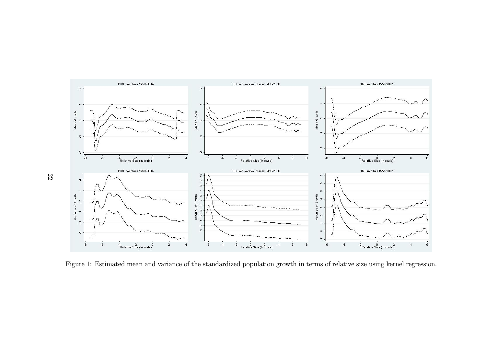

Figure 1: Estimated mean and variance of the standardized population growth in terms of relative size using kernel regression.

22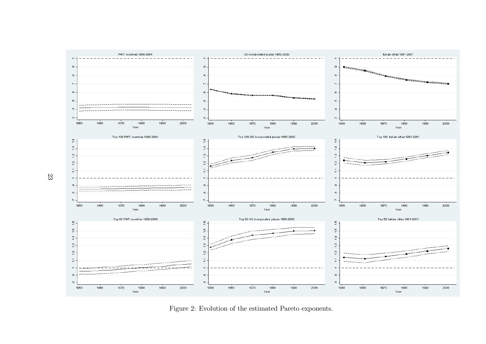

Figure 2: Evolution of the estimated Pareto exponents.

23